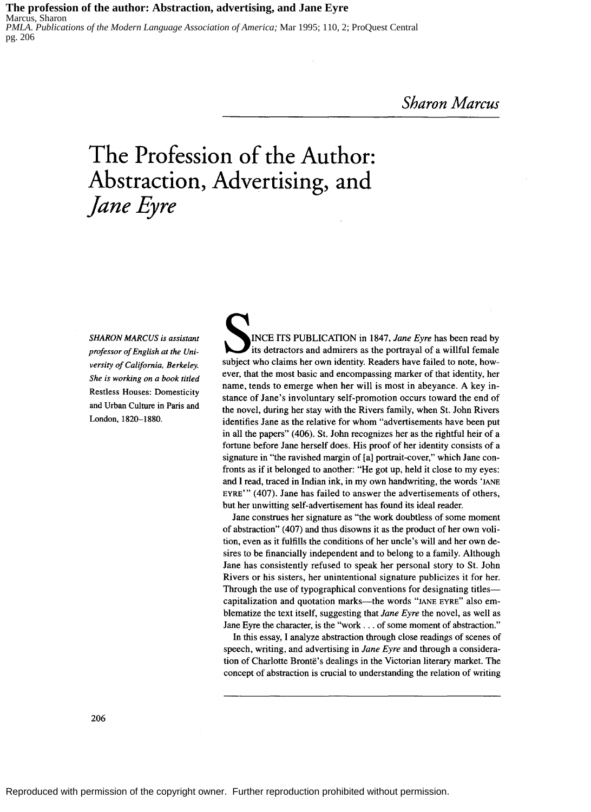# **The Profession of the Author: Abstraction, Advertising, and**  *Jane Eyre*

*SHARON MARCUS is assistant professor of English at the University of California, Berkeley. She is working on a book titled*  Restless Houses: Domesticity and Urban Culture in Paris and London, 1820-1880.

INCE ITS PUBLICATION in 1847, *Jane Eyre* has been read by its detractors and admirers as the portrayal of a willful female subject who claims her own identity. Readers have failed to note, however, that the most basic and encompassing marker of that identity, her name, tends to emerge when her will is most in abeyance. A key instance of Jane's involuntary self-promotion occurs toward the end of the novel, during her stay with the Rivers family, when St. John Rivers identifies Jane as the relative for whom "advertisements have been put in all the papers" (406). St. John recognizes her as the rightful heir of a fortune before Jane herself does. His proof of her identity consists of a signature in "the ravished margin of [a] portrait-cover," which Jane confronts as if it belonged to another: "He got up, held it close to my eyes: and I read, traced in Indian ink, in my own handwriting, the words 'JANE EYRE'" (407). Jane has failed to answer the advertisements of others, but her unwitting self-advertisement has found its ideal reader.

Jane construes her signature as "the work doubtless of some moment of abstraction" (407) and thus disowns it as the product of her own volition, even as it fulfills the conditions of her uncle's will and her own desires to be financially independent and to belong to a family. Although Jane has consistently refused to speak her personal story to St. John Rivers or his sisters, her unintentional signature publicizes it for her. Through the use of typographical conventions for designating titles capitalization and quotation marks—the words "JANE EYRE" also emblematize the text itself, suggesting that *Jane Eyre* the novel, as well as Jane Eyre the character, is the "work ... of some moment of abstraction."

In this essay, I analyze abstraction through close readings of scenes of speech, writing, and advertising in *Jane Eyre* and through a consideration of Charlotte Brontë's dealings in the Victorian literary market. The concept of abstraction is crucial to understanding the relation of writing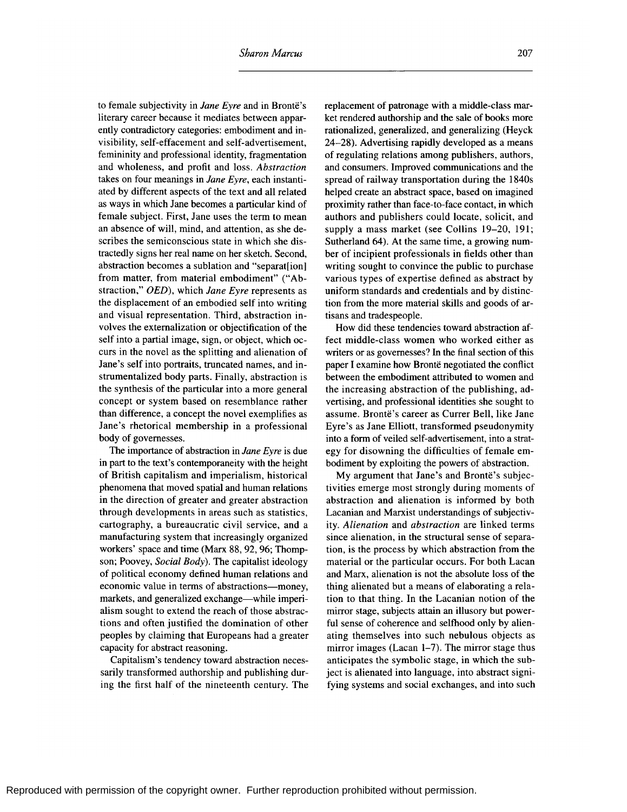to female subjectivity in *Jane Eyre* and in Bronte's literary career because it mediates between apparently contradictory categories: embodiment and invisibility, self-effacement and self-advertisement, femininity and professional identity, fragmentation and wholeness, and profit and loss. *Abstraction*  takes on four meanings in *Jane Eyre,* each instantiated by different aspects of the text and all related as ways in which Jane becomes a particular kind of female subject. First, Jane uses the term to mean an absence of will, mind, and attention, as she describes the semiconscious state in which she distractedly signs her real name on her sketch. Second, abstraction becomes a sublation and "separat[ion] from matter, from material embodiment" ("Abstraction," *OED),* which *Jane Eyre* represents as the displacement of an embodied self into writing and visual representation. Third, abstraction involves the externalization or objectification of the self into a partial image, sign, or object, which occurs in the novel as the splitting and alienation of Jane's self into portraits, truncated names, and instrumentalized body parts. Finally, abstraction is the synthesis of the particular into a more general concept or system based on resemblance rather than difference, a concept the novel exemplifies as Jane's rhetorical membership in a professional body of governesses.

The importance of abstraction in *Jane Eyre* is due in part to the text's contemporaneity with the height of British capitalism and imperialism, historical phenomena that moved spatial and human relations in the direction of greater and greater abstraction through developments in areas such as statistics, cartography, a bureaucratic civil service, and a manufacturing system that increasingly organized workers' space and time (Marx 88, 92, 96; Thompson; Poovey, *Social Body).* The capitalist ideology of political economy defined human relations and economic value in terms of abstractions-money, markets, and generalized exchange—while imperialism sought to extend the reach of those abstractions and often justified the domination of other peoples by claiming that Europeans had a greater capacity for abstract reasoning.

Capitalism's tendency toward abstraction necessarily transformed authorship and publishing during the first half of the nineteenth century. The replacement of patronage with a middle-class market rendered authorship and the sale of books more rationalized, generalized, and generalizing (Heyck 24-28). Advertising rapidly developed as a means of regulating relations among publishers, authors, and consumers. Improved communications and the spread of railway transportation during the 1840s helped create an abstract space, based on imagined proximity rather than face-to-face contact, in which authors and publishers could locate, solicit, and supply a mass market (see Collins 19-20, 191; Sutherland 64). At the same time, a growing number of incipient professionals in fields other than writing sought to convince the public to purchase various types of expertise defined as abstract by uniform standards and credentials and by distinction from the more material skills and goods of artisans and tradespeople.

How did these tendencies toward abstraction affect middle-class women who worked either as writers or as governesses? In the final section of this paper I examine how Bronte negotiated the conflict between the embodiment attributed to women and the increasing abstraction of the publishing, advertising, and professional identities she sought to assume. Brontë's career as Currer Bell, like Jane Eyre's as Jane Elliott, transformed pseudonymity into a form of veiled self-advertisement, into a strategy for disowning the difficulties of female embodiment by exploiting the powers of abstraction.

My argument that Jane's and Bronte's subjectivities emerge most strongly during moments of abstraction and alienation is informed by both Lacanian and Marxist understandings of subjectivity. *Alienation* and *abstraction* are linked terms since alienation, in the structural sense of separation, is the process by which abstraction from the material or the particular occurs. For both Lacan and Marx, alienation is not the absolute loss of the thing alienated but a means of elaborating a relation to that thing. In the Lacanian notion of the mirror stage, subjects attain an illusory but powerful sense of coherence and selfhood only by alienating themselves into such nebulous objects as mirror images (Lacan 1-7). The mirror stage thus anticipates the symbolic stage, in which the subject is alienated into language, into abstract signifying systems and social exchanges, and into such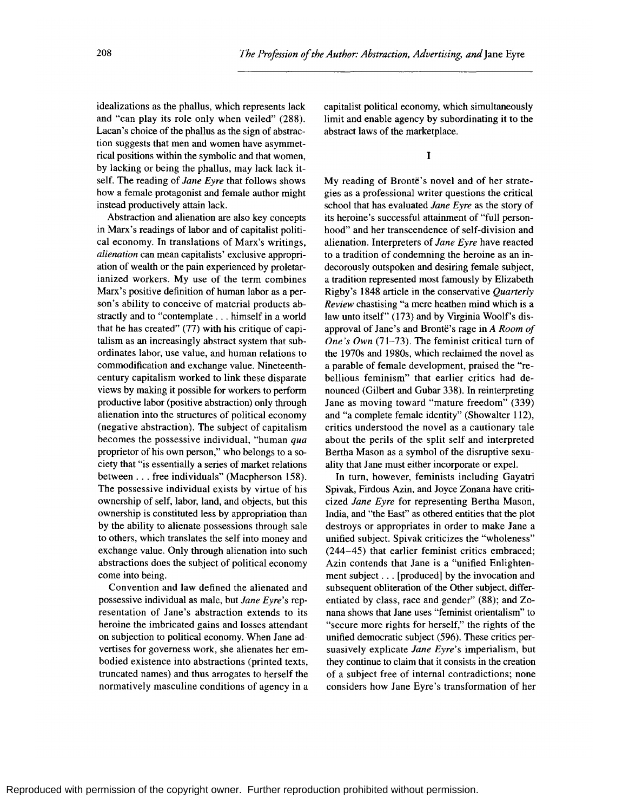idealizations as the phallus, which represents lack and "can play its role only when veiled" (288). Lacan's choice of the phallus as the sign of abstraction suggests that men and women have asymmetrical positions within the symbolic and that women, by lacking or being the phallus, may lack lack itself. The reading of *Jane Eyre* that follows shows how a female protagonist and female author might instead productively attain lack.

Abstraction and alienation are also key concepts in Marx's readings of labor and of capitalist political economy. In translations of Marx's writings, *alienation* can mean capitalists' exclusive appropriation of wealth or the pain experienced by proletarianized workers. My use of the term combines Marx's positive definition of human labor as a person's ability to conceive of material products abstractly and to "contemplate ... himself in a world that he has created" (77) with his critique of capitalism as an increasingly abstract system that subordinates labor, use value, and human relations to commodification and exchange value. Nineteenthcentury capitalism worked to link these disparate views by making it possible for workers to perform productive labor (positive abstraction) only through alienation into the structures of political economy (negative abstraction). The subject of capitalism becomes the possessive individual, "human *qua*  proprietor of his own person," who belongs to a society that "is essentially a series of market relations between ... free individuals" (Macpherson 158). The possessive individual exists by virtue of his ownership of self, labor, land, and objects, but this ownership is constituted less by appropriation than by the ability to alienate possessions through sale to others, which translates the self into money and exchange value. Only through alienation into such abstractions does the subject of political economy come into being.

Convention and law defined the alienated and possessive individual as male, but *Jane Eyre's* representation of Jane's abstraction extends to its heroine the imbricated gains and losses attendant on subjection to political economy. When Jane advertises for governess work, she alienates her embodied existence into abstractions (printed texts, truncated names) and thus arrogates to herself the normatively masculine conditions of agency in a capitalist political economy, which simultaneously limit and enable agency by subordinating it to the abstract laws of the marketplace.

#### I

My reading of Brontë's novel and of her strategies as a professional writer questions the critical school that has evaluated *Jane Eyre* as the story of its heroine's successful attainment of "full personhood" and her transcendence of self-division and alienation. Interpreters of *Jane Eyre* have reacted to a tradition of condemning the heroine as an indecorously outspoken and desiring female subject, a tradition represented most famously by Elizabeth Rigby's 1848 article in the conservative *Quarterly Review* chastising "a mere heathen mind which is a law unto itself" (173) and by Virginia Woolf's disapproval of Jane's and Bronte's rage in *A Room of One's Own* (71–73). The feminist critical turn of the 1970s and 1980s, which reclaimed the novel as a parable of female development, praised the "rebellious feminism" that earlier critics had denounced (Gilbert and Gubar 338). In reinterpreting Jane as moving toward "mature freedom" (339) and "a complete female identity" (Showalter 112), critics understood the novel as a cautionary tale about the perils of the split self and interpreted Bertha Mason as a symbol of the disruptive sexuality that Jane must either incorporate or expel.

In turn, however, feminists including Gayatri Spivak, Firdous Azin, and Joyce Zonana have criticized *Jane Eyre* for representing Bertha Mason, India, and "the East" as othered entities that the plot destroys or appropriates in order to make Jane a unified subject. Spivak criticizes the "wholeness" (244-45) that earlier feminist critics embraced; Azin contends that Jane is a "unified Enlightenment subject ... [produced] by the invocation and subsequent obliteration of the Other subject, differentiated by class, race and gender" (88); and Zonana shows that Jane uses "feminist orientalism" to "secure more rights for herself," the rights of the unified democratic subject (596). These critics persuasively explicate *Jane Eyre's* imperialism, but they continue to claim that it consists in the creation of a subject free of internal contradictions; none considers how Jane Eyre's transformation of her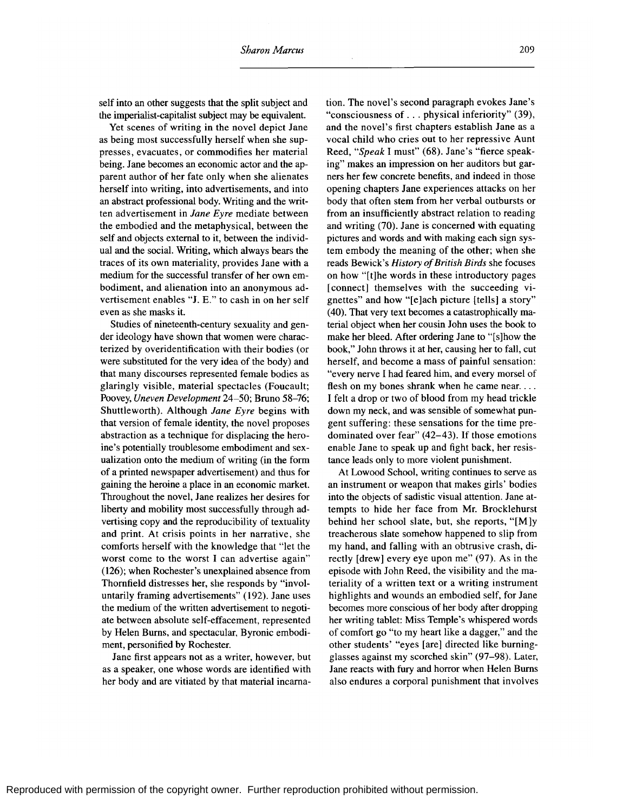self into an other suggests that the split subject and the imperialist-capitalist subject may be equivalent.

Yet scenes of writing in the novel depict Jane as being most successfully herself when she suppresses, evacuates, or commodifies her material being. Jane becomes an economic actor and the apparent author of her fate only when she alienates herself into writing, into advertisements, and into an abstract professional body. Writing and the written advertisement in *Jane Eyre* mediate between the embodied and the metaphysical, between the self and objects external to it, between the individual and the social. Writing, which always bears the traces of its own materiality, provides Jane with a medium for the successful transfer of her own embodiment, and alienation into an anonymous advertisement enables "J. E." to cash in on her self even as she masks it.

Studies of nineteenth-century sexuality and gender ideology have shown that women were characterized by overidentification with their bodies (or were substituted for the very idea of the body) and that many discourses represented female bodies as glaringly visible, material spectacles (Foucault; Poovey, *Uneven Development* 24-50; Bruno 58-76; Shuttleworth). Although *Jane Eyre* begins with that version of female identity, the novel proposes abstraction as a technique for displacing the heroine's potentially troublesome embodiment and sexualization onto the medium of writing (in the form of a printed newspaper advertisement) and thus for gaining the heroine a place in an economic market. Throughout the novel, Jane realizes her desires for liberty and mobility most successfully through advertising copy and the reproducibility of textuality and print. At crisis points in her narrative, she comforts herself with the knowledge that "let the worst come to the worst I can advertise again" (126); when Rochester's unexplained absence from Thornfield distresses her, she responds by "involuntarily framing advertisements" (192). Jane uses the medium of the written advertisement to negotiate between absolute self-effacement, represented by Helen Bums, and spectacular, Byronic embodiment, personified by Rochester.

Jane first appears not as a writer, however, but as a speaker, one whose words are identified with her body and are vitiated by that material incarnation. The novel's second paragraph evokes Jane's "consciousness of ... physical inferiority" (39), and the novel's first chapters establish Jane as a vocal child who cries out to her repressive Aunt Reed, *"Speak* I must" (68). Jane's "fierce speaking" makes an impression on her auditors but garners her few concrete benefits, and indeed in those opening chapters Jane experiences attacks on her body that often stem from her verbal outbursts or from an insufficiently abstract relation to reading and writing (70). Jane is concerned with equating pictures and words and with making each sign system embody the meaning of the other; when she reads Bewick's *History of British Birds* she focuses on how "[t]he words in these introductory pages [connect] themselves with the succeeding vignettes" and how "[e]ach picture [tells] a story" (40). That very text becomes a catastrophically material object when her cousin John uses the book to make her bleed. After ordering Jane to "[s]how the book," John throws it at her, causing her to fall, cut herself, and become a mass of painful sensation: "every nerve I had feared him, and every morsel of flesh on my bones shrank when he came near.... I felt a drop or two of blood from my head trickle down my neck, and was sensible of somewhat pungent suffering: these sensations for the time predominated over fear" (42-43). If those emotions enable Jane to speak up and fight back, her resistance leads only to more violent punishment.

At Lowood School, writing continues to serve as an instrument or weapon that makes girls' bodies into the objects of sadistic visual attention. Jane attempts to hide her face from Mr. Brocklehurst behind her school slate, but, she reports, "[M]y treacherous slate somehow happened to slip from my hand, and falling with an obtrusive crash, directly [drew] every eye upon me" (97). As in the episode with John Reed, the visibility and the materiality of a written text or a writing instrument highlights and wounds an embodied self, for Jane becomes more conscious of her body after dropping her writing tablet: Miss Temple's whispered words of comfort go "to my heart like a dagger," and the other students' "eyes [are] directed like burningglasses against my scorched skin" (97-98). Later, Jane reacts with fury and horror when Helen Bums also endures a corporal punishment that involves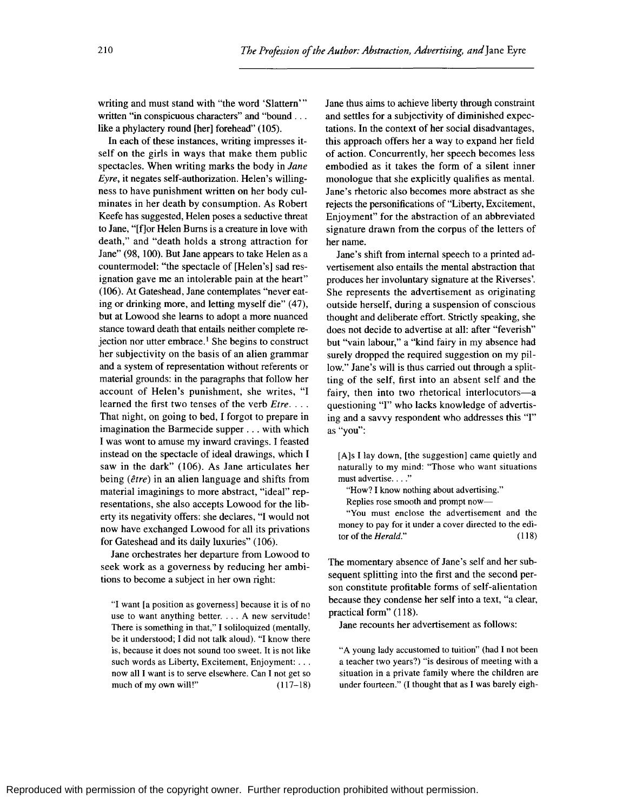writing and must stand with "the word 'Slattern'" written "in conspicuous characters" and "bound . . . like a phylactery round [her] forehead" (105).

In each of these instances, writing impresses itself on the girls in ways that make them public spectacles. When writing marks the body in *Jane Eyre,* it negates self-authorization. Helen's willingness to have punishment written on her body culminates in her death by consumption. As Robert Keefe has suggested, Helen poses a seductive threat to Jane, "[f]or Helen Bums is a creature in love with death," and "death holds a strong attraction for Jane" (98, 100). But Jane appears to take Helen as a countermodel: "the spectacle of [Helen's] sad resignation gave me an intolerable pain at the heart" (106). At Gateshead, Jane contemplates "never eating or drinking more, and letting myself die" (47), but at Lowood she learns to adopt a more nuanced stance toward death that entails neither complete rejection nor utter embrace.<sup>1</sup> She begins to construct her subjectivity on the basis of an alien grammar and a system of representation without referents or material grounds: in the paragraphs that follow her account of Helen's punishment, she writes, "I learned the first two tenses of the verb *Etre.* . . . That night, on going to bed, I forgot to prepare in imagination the Barmecide supper ... with which I was wont to amuse my inward cravings. I feasted instead on the spectacle of ideal drawings, which I saw in the dark" (106). As Jane articulates her being *(etre)* in an alien language and shifts from material imaginings to more abstract, "ideal" representations, she also accepts Lowood for the liberty its negativity offers: she declares, "I would not now have exchanged Lowood for all its privations for Gateshead and its daily luxuries" (106).

Jane orchestrates her departure from Lowood to seek work as a governess by reducing her ambitions to become a subject in her own right:

"I want [a position as governess] because it is of no use to want anything better. . . . A new servitude! There is something in that," I soliloquized (mentally, be it understood; I did not talk aloud). "I know there is, because it does not sound too sweet. It is not like such words as Liberty, Excitement, Enjoyment: ... now all I want is to serve elsewhere. Can I not get so much of my own will!"  $(117-18)$ 

Jane thus aims to achieve liberty through constraint and settles for a subjectivity of diminished expectations. In the context of her social disadvantages, this approach offers her a way to expand her field of action. Concurrently, her speech becomes less embodied as it takes the form of a silent inner monologue that she explicitly qualifies as mental. Jane's rhetoric also becomes more abstract as she rejects the personifications of "Liberty, Excitement, Enjoyment" for the abstraction of an abbreviated signature drawn from the corpus of the letters of her name.

Jane's shift from internal speech to a printed advertisement also entails the mental abstraction that produces her involuntary signature at the Riverses'. She represents the advertisement as originating outside herself, during a suspension of conscious thought and deliberate effort. Strictly speaking, she does not decide to advertise at all: after "feverish" but "vain labour," a "kind fairy in my absence had surely dropped the required suggestion on my pillow." Jane's will is thus carried out through a splitting of the self, first into an absent self and the fairy, then into two rhetorical interlocutors-a questioning "I" who lacks knowledge of advertising and a savvy respondent who addresses this "I" as "you":

[A]s I lay down, [the suggestion] came quietly and naturally to my mind: "Those who want situations must advertise...."

"How? I know nothing about advertising."

Replies rose smooth and prompt now-

"You must enclose the advertisement and the money to pay for it under a cover directed to the editor of the *Herald."* (118)

The momentary absence of Jane's self and her subsequent splitting into the first and the second person constitute profitable forms of self-alientation because they condense her self into a text, "a clear, practical form" (118).

Jane recounts her advertisement as follows:

"A young lady accustomed to tuition" (had I not been a teacher two years?) "is desirous of meeting with a situation in a private family where the children are under fourteen." (I thought that as I was barely eigh-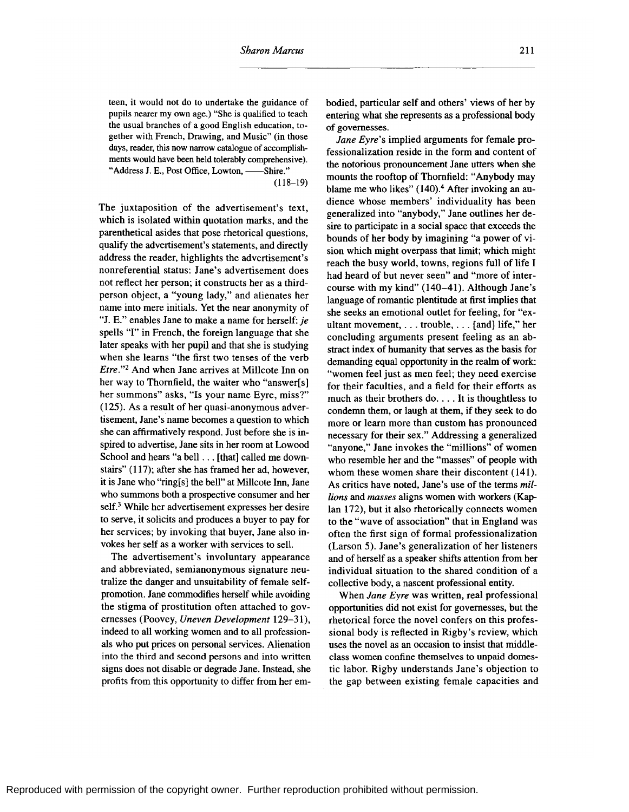211

teen, it would not do to undertake the guidance of pupils nearer my own age.) "She is qualified to teach the usual branches of a good English education, together with French, Drawing, and Music" (in those days, reader, this now narrow catalogue of accomplishments would have been held tolerably comprehensive). "Address J. E., Post Office, Lowton, -- Shire."

(118-19)

The juxtaposition of the advertisement's text, which is isolated within quotation marks, and the parenthetical asides that pose rhetorical questions, qualify the advertisement's statements, and directly address the reader, highlights the advertisement's nonreferential status: Jane's advertisement does not reflect her person; it constructs her as a thirdperson object, a "young lady," and alienates her name into mere initials. Yet the near anonymity of "J. E." enables Jane to make a name for herself: *je*  spells "I" in French, the foreign language that she later speaks with her pupil and that she is studying when she learns "the first two tenses of the verb *Etre."2* And when Jane arrives at Millcote Inn on her way to Thornfield, the waiter who "answer[s] her summons" asks, "Is your name Eyre, miss?" (125). As a result of her quasi-anonymous advertisement, Jane's name becomes a question to which she can affirmatively respond. Just before she is inspired to advertise, Jane sits in her room at Lowood School and hears "a bell ... [that] called me downstairs" (117); after she has framed her ad, however, it is Jane who "ring[s] the bell" at Millcote Inn, Jane who summons both a prospective consumer and her self.3 While her advertisement expresses her desire to serve, it solicits and produces a buyer to pay for her services; by invoking that buyer, Jane also invokes her self as a worker with services to sell.

The advertisement's involuntary appearance and abbreviated, semianonymous signature neutralize the danger and unsuitability of female selfpromotion. Jane commodifies herself while avoiding the stigma of prostitution often attached to governesses (Poovey, *Uneven Development* 129-31), indeed to all working women and to all professionals who put prices on personal services. Alienation into the third and second persons and into written signs does not disable or degrade Jane. Instead, she profits from this opportunity to differ from her embodied, particular self and others' views of her by entering what she represents as a professional body of governesses.

*Jane Eyre's* implied arguments for female professionalization reside in the form and content of the notorious pronouncement Jane utters when she mounts the rooftop of Thornfield: "Anybody may blame me who likes" (140).<sup>4</sup> After invoking an audience whose members' individuality has been generalized into "anybody," Jane outlines her desire to participate in a social space that exceeds the bounds of her body by imagining "a power of vision which might overpass that limit; which might reach the busy world, towns, regions full of life I had heard of but never seen" and "more of intercourse with my kind" (140-41). Although Jane's language of romantic plentitude at first implies that she seeks an emotional outlet for feeling, for "exultant movement, ... trouble, ... [and] life," her concluding arguments present feeling as an abstract index of humanity that serves as the basis for demanding equal opportunity in the realm of work: "women feel just as men feel; they need exercise for their faculties, and a field for their efforts as much as their brothers do. . . . It is thoughtless to condemn them, or laugh at them, if they seek to do more or learn more than custom has pronounced necessary for their sex." Addressing a generalized "anyone," Jane invokes the "millions" of women who resemble her and the "masses" of people with whom these women share their discontent (141). As critics have noted, Jane's use of the terms *millions* and *masses* aligns women with workers (Kaplan 172), but it also rhetorically connects women to the "wave of association" that in England was often the first sign of formal professionalization (Larson 5). Jane's generalization of her listeners and of herself as a speaker shifts attention from her individual situation to the shared condition of a collective body, a nascent professional entity.

When *Jane Eyre* was written, real professional opportunities did not exist for governesses, but the rhetorical force the novel confers on this professional body is reflected in Rigby's review, which uses the novel as an occasion to insist that middleclass women confine themselves to unpaid domestic labor. Rigby understands Jane's objection to the gap between existing female capacities and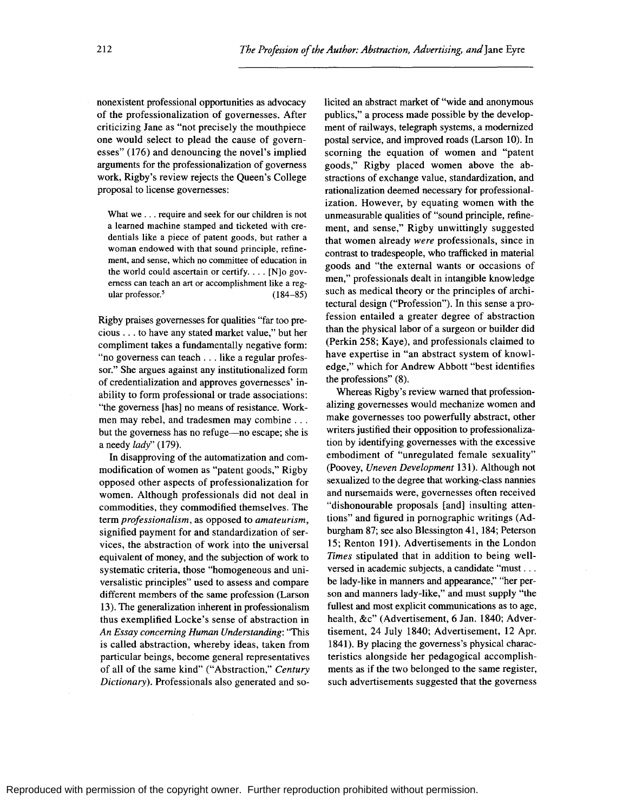nonexistent professional opportunities as advocacy of the professionalization of governesses. After criticizing Jane as "not precisely the mouthpiece one would select to plead the cause of governesses" (176) and denouncing the novel's implied arguments for the professionalization of governess work, Rigby's review rejects the Queen's College proposal to license governesses:

What we ... require and seek for our children is not a learned machine stamped and ticketed with credentials like a piece of patent goods, but rather a woman endowed with that sound principle, refinement, and sense, which no committee of education in the world could ascertain or certify....  $[N]$ o governess can teach an art or accomplishment like a regular professor.<sup>5</sup> (184-85)

Rigby praises governesses for qualities "far too precious ... to have any stated market value," but her compliment takes a fundamentally negative form: "no governess can teach ... like a regular professor." She argues against any institutionalized form of credentialization and approves governesses' inability to form professional or trade associations: "the governess [has] no means of resistance. Workmen may rebel, and tradesmen may combine ... but the governess has no refuge—no escape; she is a needy *lady" (179).* 

In disapproving of the automatization and commodification of women as "patent goods," Rigby opposed other aspects of professionalization for women. Although professionals did not deal in commodities, they commodified themselves. The term *professionalism,* as opposed to *amateurism,*  signified payment for and standardization of services, the abstraction of work into the universal equivalent of money, and the subjection of work to systematic criteria, those "homogeneous and universalistic principles" used to assess and compare different members of the same profession (Larson 13). The generalization inherent in professionalism thus exemplified Locke's sense of abstraction in *An Essay concerning Human Understanding:* "This is called abstraction, whereby ideas, taken from particular beings, become general representatives of all of the same kind" ("Abstraction," *Century Dictionary).* Professionals also generated and solicited an abstract market of "wide and anonymous publics," a process made possible by the development of railways, telegraph systems, a modernized postal service, and improved roads (Larson 10). In scorning the equation of women and "patent goods," Rigby placed women above the abstractions of exchange value, standardization, and rationalization deemed necessary for professionalization. However, by equating women with the unmeasurable qualities of "sound principle, refinement, and sense," Rigby unwittingly suggested that women already *were* professionals, since in contrast to tradespeople, who trafficked in material goods and "the external wants or occasions of men," professionals dealt in intangible knowledge such as medical theory or the principles of architectural design ("Profession"). In this sense a profession entailed a greater degree of abstraction than the physical labor of a surgeon or builder did (Perkin 258; Kaye), and professionals claimed to have expertise in "an abstract system of knowledge," which for Andrew Abbott "best identifies the professions" (8).

Whereas Rigby's review warned that professionalizing governesses would mechanize women and make governesses too powerfully abstract, other writers justified their opposition to professionalization by identifying governesses with the excessive embodiment of "unregulated female sexuality" (Poovey, *Uneven Development* 131). Although not sexualized to the degree that working-class nannies and nursemaids were, governesses often received "dishonourable proposals [and] insulting attentions" and figured in pornographic writings (Adburgham 87; see also Blessington 41, 184; Peterson 15; Renton 191). Advertisements in the London *Times* stipulated that in addition to being wellversed in academic subjects, a candidate "must ... be lady-like in manners and appearance," "her person and manners lady-like," and must supply "the fullest and most explicit communications as to age, health, &c" (Advertisement, 6 Jan. 1840; Advertisement, 24 July 1840; Advertisement, 12 Apr. 1841). By placing the governess's physical characteristics alongside her pedagogical accomplishments as if the two belonged to the same register, such advertisements suggested that the governess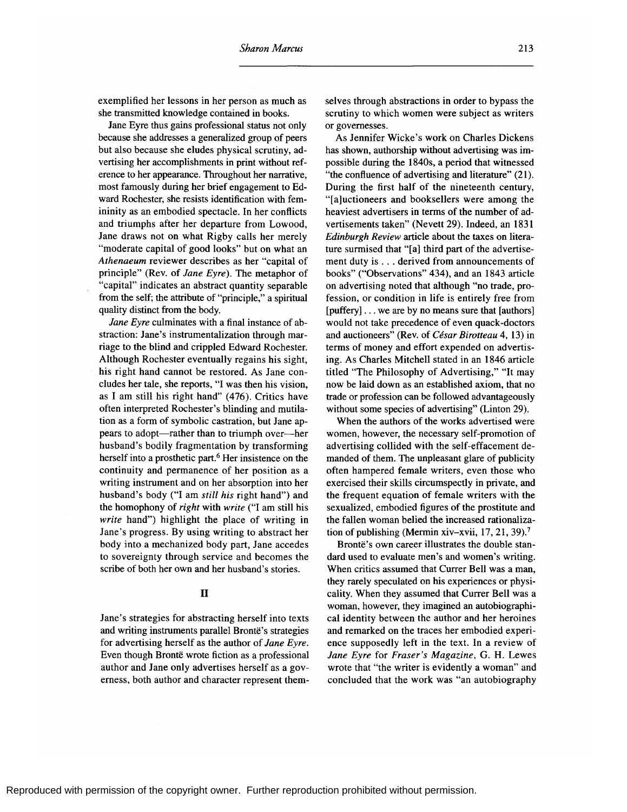exemplified her lessons in her person as much as she transmitted knowledge contained in books.

Jane Eyre thus gains professional status not only because she addresses a generalized group of peers but also because she eludes physical scrutiny, advertising her accomplishments in print without reference to her appearance. Throughout her narrative, most famously during her brief engagement to Edward Rochester, she resists identification with femininity as an embodied spectacle. In her conflicts and triumphs after her departure from Lowood, Jane draws not on what Rigby calls her merely "moderate capital of good looks" but on what an *Athenaeum* reviewer describes as her "capital of principle" (Rev. of *Jane Eyre).* The metaphor of "capital" indicates an abstract quantity separable from the self; the attribute of "principle," a spiritual quality distinct from the body.

*Jane Eyre* culminates with a final instance of abstraction: Jane's instrumentalization through marriage to the blind and crippled Edward Rochester. Although Rochester eventually regains his sight, his right hand cannot be restored. As Jane concludes her tale, she reports, "I was then his vision, as I am still his right hand" (476). Critics have often interpreted Rochester's blinding and mutilation as a form of symbolic castration, but Jane appears to adopt—rather than to triumph over-her husband's bodily fragmentation by transforming herself into a prosthetic part.<sup>6</sup> Her insistence on the continuity and permanence of her position as a writing instrument and on her absorption into her husband's body ("I am *still his* right hand") and the homophony of *right* with *write* ("I am still his *write* hand") highlight the place of writing in Jane's progress. By using writing to abstract her body into a mechanized body part, Jane accedes to sovereignty through service and becomes the scribe of both her own and her husband's stories.

#### II

Jane's strategies for abstracting herself into texts and writing instruments parallel Brontë's strategies for advertising herself as the author of *Jane Eyre.*  Even though Brontë wrote fiction as a professional author and Jane only advertises herself as a governess, both author and character represent themselves through abstractions in order to bypass the scrutiny to which women were subject as writers or governesses.

As Jennifer Wicke's work on Charles Dickens has shown, authorship without advertising was impossible during the 1840s, a period that witnessed "the confluence of advertising and literature" (21). During the first half of the nineteenth century, "[a]uctioneers and booksellers were among the heaviest advertisers in terms of the number of advertisements taken" (Nevett 29). Indeed, an 1831 *Edinburgh Review* article about the taxes on literature surmised that "[a] third part of the advertisement duty is ... derived from announcements of books" ("Observations" 434), and an 1843 article on advertising noted that although "no trade, profession, or condition in life is entirely free from [puffery] ... we are by no means sure that [authors] would not take precedence of even quack-doctors and auctioneers" (Rev. of *Cesar Birotteau* 4, l3) in terms of money and effort expended on advertising. As Charles Mitchell stated in an 1846 article titled "The Philosophy of Advertising," "It may now be laid down as an established axiom, that no trade or profession can be followed advantageously without some species of advertising" (Linton 29).

When the authors of the works advertised were women, however, the necessary self-promotion of advertising collided with the self-effacement demanded of them. The unpleasant glare of publicity often hampered female writers, even those who exercised their skills circumspectly in private, and the frequent equation of female writers with the sexualized, embodied figures of the prostitute and the fallen woman belied the increased rationalization of publishing (Mermin xiv-xvii, 17, 21, 39).<sup>7</sup>

Brontë's own career illustrates the double standard used to evaluate men's and women's writing. When critics assumed that Currer Bell was a man, they rarely speculated on his experiences or physicality. When they assumed that Currer Bell was a woman, however, they imagined an autobiographical identity between the author and her heroines and remarked on the traces her embodied experience supposedly left in the text. In a review of *Jane Eyre* for *Fraser's Magazine,* G. H. Lewes wrote that "the writer is evidently a woman" and concluded that the work was "an autobiography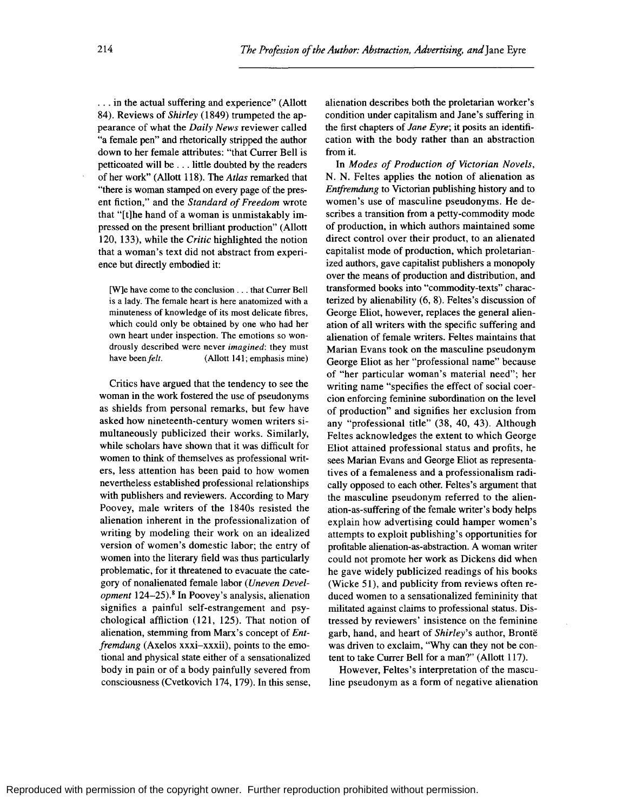... in the actual suffering and experience" (Allott 84). Reviews of *Shirley* (1849) trumpeted the appearance of what the *Daily News* reviewer called "a female pen" and rhetorically stripped the author down to her female attributes: "that Currer Bell is petticoated will be ... little doubted by the readers of her work" (Allott 118). The *Atlas* remarked that "there is woman stamped on every page of the present fiction," and the *Standard of Freedom* wrote that "[t]he hand of a woman is unmistakably impressed on the present brilliant production" (Allott 120, 133), while the *Critic* highlighted the notion that a woman's text did not abstract from experience but directly embodied it:

[W]e have come to the conclusion ... that Currer Bell is a lady. The female heart is here anatomized with a minuteness of knowledge of its most delicate fibres, which could only be obtained by one who had her own heart under inspection. The emotions so wondrously described were never *imagined:* they must have been *felt*. (Allott 141; emphasis mine)

Critics have argued that the tendency to see the woman in the work fostered the use of pseudonyms as shields from personal remarks, but few have asked how nineteenth-century women writers simultaneously publicized their works. Similarly, while scholars have shown that it was difficult for women to think of themselves as professional writers, less attention has been paid to how women nevertheless established professional relationships with publishers and reviewers. According to Mary Poovey, male writers of the 1840s resisted the alienation inherent in the professionalization of writing by modeling their work on an idealized version of women's domestic labor; the entry of women into the literary field was thus particularly problematic, for it threatened to evacuate the category of nonalienated female labor *(Uneven Development* 124-25).8 In Poovey's analysis, alienation signifies a painful self-estrangement and psychological affliction (121, 125). That notion of alienation, stemming from Marx's concept of *Entfremdung* (Axelos xxxi-xxxii), points to the emotional and physical state either of a sensationalized body in pain or of a body painfully severed from consciousness (Cvetkovich 174, 179). In this sense, alienation describes both the proletarian worker's condition under capitalism and Jane's suffering in the first chapters of *Jane Eyre;* it posits an identification with the body rather than an abstraction from it.

In *Modes of Production of Victorian Novels,*  N. N. Feltes applies the notion of alienation as *Entfremdung* to Victorian publishing history and to women's use of masculine pseudonyms. He describes a transition from a petty-commodity mode of production, in which authors maintained some direct control over their product, to an alienated capitalist mode of production, which proletarianized authors, gave capitalist publishers a monopoly over the means of production and distribution, and transformed books into "commodity-texts" characterized by alienability (6, 8). Feltes's discussion of George Eliot, however, replaces the general alienation of all writers with the specific suffering and alienation of female writers. Feltes maintains that Marian Evans took on the masculine pseudonym George Eliot as her "professional name" because of "her particular woman's material need"; her writing name "specifies the effect of social coercion enforcing feminine subordination on the level of production" and signifies her exclusion from any "professional title" (38, 40, 43). Although Feltes acknowledges the extent to which George Eliot attained professional status and profits, he sees Marian Evans and George Eliot as representatives of a femaleness and a professionalism radically opposed to each other. Feltes's argument that the masculine pseudonym referred to the alienation-as-suffering of the female writer's body helps explain how advertising could hamper women's attempts to exploit publishing's opportunities for profitable alienation-as-abstraction. A woman writer could not promote her work as Dickens did when he gave widely publicized readings of his books (Wicke 51), and publicity from reviews often reduced women to a sensationalized femininity that militated against claims to professional status. Distressed by reviewers' insistence on the feminine garb, hand, and heart of *Shirley's* author, Bronte was driven to exclaim, "Why can they not be content to take Currer Bell for a man?" (Allott 117).

However, Feltes's interpretation of the masculine pseudonym as a form of negative alienation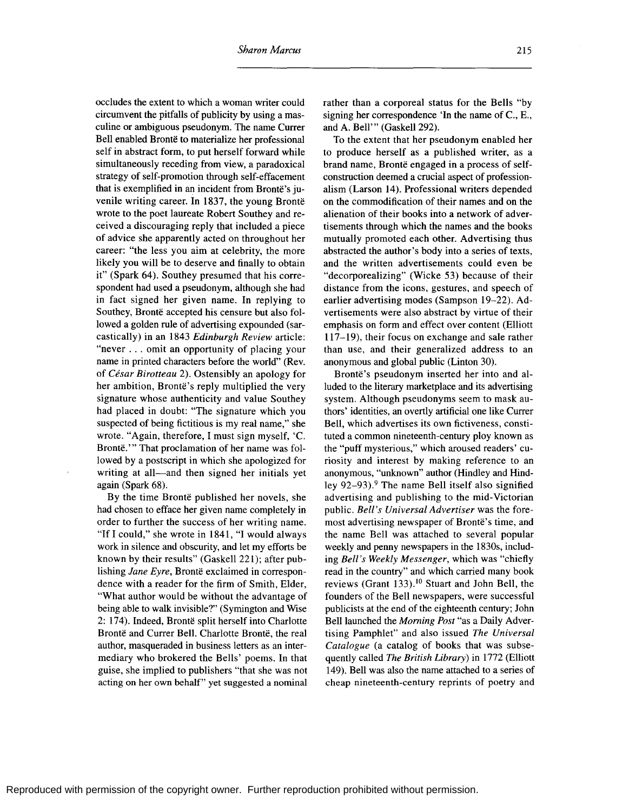215

occludes the extent to which a woman writer could circumvent the pitfalls of publicity by using a masculine or ambiguous pseudonym. The name Currer Bell enabled Brontë to materialize her professional self in abstract form, to put herself forward while simultaneously receding from view, a paradoxical strategy of self-promotion through self-effacement that is exemplified in an incident from Bronte's juvenile writing career. In 1837, the young Bronte wrote to the poet laureate Robert Southey and received a discouraging reply that included a piece of advice she apparently acted on throughout her career: "the less you aim at celebrity, the more likely you will be to deserve and finally to obtain it" (Spark 64). Southey presumed that his correspondent had used a pseudonym, although she had in fact signed her given name. In replying to Southey, Brontë accepted his censure but also followed a golden rule of advertising expounded (sarcastically) in an 1843 *Edinburgh Review* article: "never ... omit an opportunity of placing your name in printed characters before the world" (Rev. of *Cesar Birotteau* 2). Ostensibly an apology for her ambition, Brontë's reply multiplied the very signature whose authenticity and value Southey had placed in doubt: "The signature which you suspected of being fictitious is my real name," she wrote. "Again, therefore, I must sign myself,  $C$ . Brontë.'" That proclamation of her name was followed by a postscript in which she apologized for writing at all—and then signed her initials yet again (Spark 68).

By the time Bronte published her novels, she had chosen to efface her given name completely in order to further the success of her writing name. "If I could," she wrote in 1841, "I would always work in silence and obscurity, and let my efforts be known by their results" (Gaskell 221); after publishing *Jane Eyre*, Bronte exclaimed in correspondence with a reader for the firm of Smith, Elder, "What author would be without the advantage of being able to walk invisible?" (Symington and Wise 2: 174). Indeed, Bronte split herself into Charlotte Brontë and Currer Bell. Charlotte Brontë, the real author, masqueraded in business letters as an intermediary who brokered the Bells' poems. In that guise, she implied to publishers "that she was not acting on her own behalf" yet suggested a nominal rather than a corporeal status for the Bells "by signing her correspondence 'In the name of C., E., and A. Bell'" (Gaskell 292).

To the extent that her pseudonym enabled her to produce herself as a published writer, as a brand name, Brontë engaged in a process of selfconstruction deemed a crucial aspect of professionalism (Larson 14). Professional writers depended on the commodification of their names and on the alienation of their books into a network of advertisements through which the names and the books mutually promoted each other. Advertising thus abstracted the author's body into a series of texts, and the written advertisements could even be "decorporealizing" (Wicke 53) because of their distance from the icons, gestures, and speech of earlier advertising modes (Sampson 19-22). Advertisements were also abstract by virtue of their emphasis on form and effect over content (Elliott 117-19), their focus on exchange and sale rather than use, and their generalized address to an anonymous and global public (Linton 30).

Brontë's pseudonym inserted her into and alluded to the literary marketplace and its advertising system. Although pseudonyms seem to mask authors' identities, an overtly artificial one like Currer Bell, which advertises its own fictiveness, constituted a common nineteenth-century ploy known as the "puff mysterious," which aroused readers' curiosity and interest by making reference to an anonymous, "unknown" author (Hindley and Hindley  $92-93$ .<sup>9</sup> The name Bell itself also signified advertising and publishing to the mid-Victorian public. *Bel/'s Universal Advertiser* was the foremost advertising newspaper of Brontë's time, and the name Bell was attached to several popular weekly and penny newspapers in the 1830s, including *Bel/'s Weekly Messenger,* which was "chiefly read in the country" and which carried many book reviews (Grant 133).10 Stuart and John Bell, the founders of the Bell newspapers, were successful publicists at the end of the eighteenth century; John Bell launched the *Morning Post* "as a Daily Advertising Pamphlet" and also issued *The Universal Catalogue* (a catalog of books that was subsequently called *The British Library)* in 1772 (Elliott 149). Bell was also the name attached to a series of cheap nineteenth-century reprints of poetry and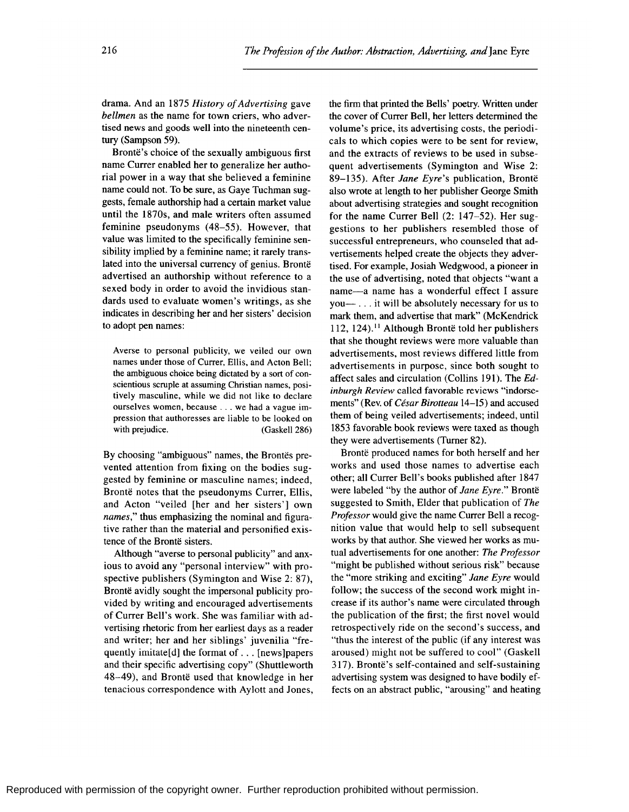drama. And an 1875 *History of Advertising* gave *bellmen* as the name for town criers, who advertised news and goods well into the nineteenth century (Sampson 59).

Brontë's choice of the sexually ambiguous first name Currer enabled her to generalize her authorial power in a way that she believed a feminine name could not. To be sure, as Gaye Tuchman suggests, female authorship had a certain market value until the 1870s, and male writers often assumed feminine pseudonyms (48-55). However, that value was limited to the specifically feminine sensibility implied by a feminine name; it rarely translated into the universal currency of genius. Brontë advertised an authorship without reference to a sexed body in order to avoid the invidious standards used to evaluate women's writings, as she indicates in describing her and her sisters' decision to adopt pen names:

Averse to personal publicity, we veiled our own names under those of Currer, Ellis, and Acton Bell; the ambiguous choice being dictated by a sort of conscientious scruple at assuming Christian names, positively masculine, while we did not like to declare ourselves women, because ... we had a vague impression that authoresses are liable to be looked on with prejudice. (Gaskell 286)

By choosing "ambiguous" names, the Brontes prevented attention from fixing on the bodies suggested by feminine or masculine names; indeed, Bronte notes that the pseudonyms Currer, Ellis, and Acton "veiled [her and her sisters'] own *names,"* thus emphasizing the nominal and figurative rather than the material and personified existence of the Brontë sisters.

Although "averse to personal publicity" and anxious to avoid any "personal interview" with prospective publishers (Symington and Wise 2: 87), Bronte avidly sought the impersonal publicity provided by writing and encouraged advertisements of Currer Bell's work. She was familiar with advertising rhetoric from her earliest days as a reader and writer; her and her siblings' juvenilia "frequently imitate[d] the format of ... [news]papers and their specific advertising copy" (Shuttleworth 48-49), and Bronte used that knowledge in her tenacious correspondence with Aylott and Jones,

the firm that printed the Bells' poetry. Written under the cover of Currer Bell, her letters determined the volume's price, its advertising costs, the periodicals to which copies were to be sent for review, and the extracts of reviews to be used in subsequent advertisements (Symington and Wise 2: 89-135). After *Jane Eyre's* publication, Bronte also wrote at length to her publisher George Smith about advertising strategies and sought recognition for the name Currer Bell (2: 147-52). Her suggestions to her publishers resembled those of successful entrepreneurs, who counseled that advertisements helped create the objects they advertised. For example, Josiah Wedgwood, a pioneer in the use of advertising, noted that objects "want a name-a name has a wonderful effect I assure  $you$ — ... it will be absolutely necessary for us to mark them, and advertise that mark" (McKendrick 112, 124).<sup>11</sup> Although Brontë told her publishers that she thought reviews were more valuable than advertisements, most reviews differed little from advertisements in purpose, since both sought to affect sales and circulation (Collins 191). The *Edinburgh Review* called favorable reviews "indorsements" (Rev. of *César Birotteau* 14-15) and accused them of being veiled advertisements; indeed, until 1853 favorable book reviews were taxed as though they were advertisements (Turner 82).

Brontë produced names for both herself and her works and used those names to advertise each other; all Currer Bell's books published after 1847 were labeled "by the author of *Jane Eyre."* Bronte suggested to Smith, Elder that publication of *The Professor* would give the name Currer Bell a recognition value that would help to sell subsequent works by that author. She viewed her works as mutual advertisements for one another: *The Professor*  "might be published without serious risk" because the "more striking and exciting" *Jane Eyre* would follow; the success of the second work might increase if its author's name were circulated through the publication of the first; the first novel would retrospectively ride on the second's success, and "thus the interest of the public (if any interest was aroused) might not be suffered to cool" (Gaskell 317). Bronte's self-contained and self-sustaining advertising system was designed to have bodily effects on an abstract public, "arousing" and heating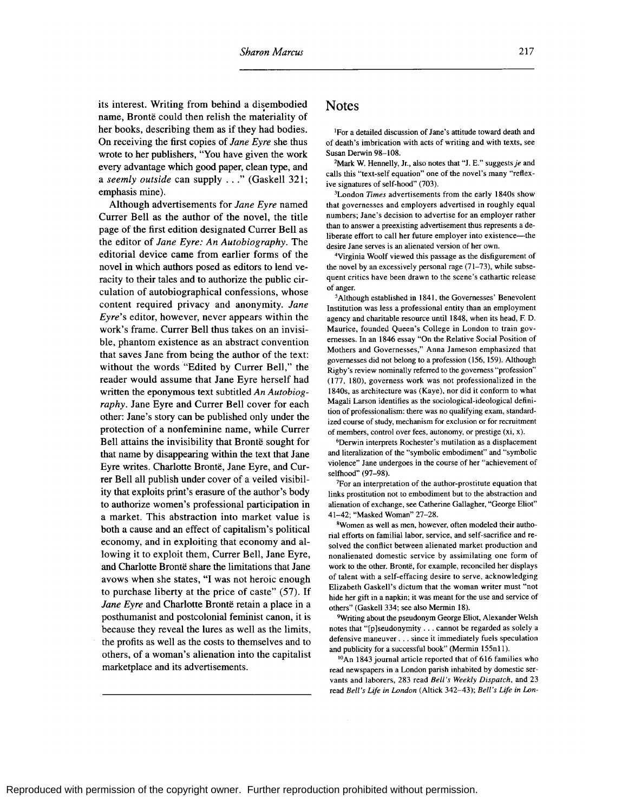its interest. Writing from behind a disembodied name, Brontë could then relish the materiality of her books, describing them as if they had bodies. On receiving the first copies of *Jane Eyre* she thus wrote to her publishers, "You have given the work every advantage which good paper, clean type, and <sup>a</sup>*seemly outside* can supply ... " (Gaskell 321; emphasis mine).

Although advertisements for *Jane Eyre* named Currer Bell as the author of the novel, the title page of the first edition designated Currer Bell as the editor of *Jane Eyre: An Autobiography.* The editorial device came from earlier forms of the novel in which authors posed as editors to lend veracity to their tales and to authorize the public circulation of autobiographical confessions, whose content required privacy and anonymity. *Jane Eyre's* editor, however, never appears within the work's frame. Currer Bell thus takes on an invisible, phantom existence as an abstract convention that saves Jane from being the author of the text: without the words "Edited by Currer Bell," the reader would assume that Jane Eyre herself had written the eponymous text subtitled *An Autobiography.* Jane Eyre and Currer Bell cover for each other: Jane's story can be published only under the protection of a nonfeminine name, while Currer Bell attains the invisibility that Bronte sought for that name by disappearing within the text that Jane Eyre writes. Charlotte Bronte, Jane Eyre, and Currer Bell all publish under cover of a veiled visibility that exploits print's erasure of the author's body to authorize women's professional participation in a market. This abstraction into market value is both a cause and an effect of capitalism's political economy, and in exploiting that economy and allowing it to exploit them, Currer Bell, Jane Eyre, and Charlotte Brontë share the limitations that Jane avows when she states, "I was not heroic enough to purchase liberty at the price of caste" (57). If *Jane Eyre* and Charlotte Bronte retain a place in a posthumanist and postcolonial feminist canon, it is because they reveal the lures as well as the limits, the profits as well as the costs to themselves and to others, of a woman's alienation into the capitalist marketplace and its advertisements.

### **Notes**

<sup>1</sup>For a detailed discussion of Jane's attitude toward death and of death's imbrication with acts of writing and with texts, see Susan Derwin 98-108.

2Mark W. Hennelly, Jr., also notes that "J. E." *suggestsje* and calls this "text-self equation" one of the novel's many "reflexive signatures of self-hood" (703).

3London *Times* advertisements from the early 1840s show that governesses and employers advertised in roughly equal numbers; Jane's decision to advertise for an employer rather than to answer a preexisting advertisement thus represents a deliberate effort to call her future employer into existence-the desire Jane serves is an alienated version of her own.

'Virginia Woolf viewed this passage as the disfigurement of the novel by an excessively personal rage (71-73), while subsequent critics have been drawn to the scene's cathartic release of anger.

5Although established in 1841, the Governesses' Benevolent Institution was less a professional entity than an employment agency and charitable resource until 1848, when its head, F. D. Maurice, founded Queen's College in London to train governesses. In an 1846 essay "On the Relative Social Position of Mothers and Governesses," Anna Jameson emphasized that governesses did not belong to a profession (156, 159). Although Rigby's review nominally referred to the governess "profession" (177, 180), governess work was not professionalized in the I 840s, as architecture was (Kaye), nor did it conform to what Magali Larson identifies as the sociological-ideological definition of professionalism: there was no qualifying exam, standardized course of study, mechanism for exclusion or for recruitment of members, control over fees, autonomy, or prestige (xi, x).

6Derwin interprets Rochester's mutilation as a displacement and literalization of the "symbolic embodiment" and "symbolic violence" Jane undergoes in the course of her "achievement of selfhood" (97-98).

7For an interpretation of the author-prostitute equation that links prostitution not to embodiment but to the abstraction and alienation of exchange, see Catherine Gallagher, "George Eliot" 41-42; "Masked Woman" 27-28.

8Women as well as men, however, often modeled their authorial efforts on familial labor, service, and self-sacrifice and resolved the conflict between alienated market production and nonalienated domestic service by assimilating one form of work to the other. Brontë, for example, reconciled her displays of talent with a self-effacing desire to serve, acknowledging Elizabeth Gaskell's dictum that the woman writer must "not hide her gift in a napkin; it was meant for the use and service of others" (Gaskell 334; see also Mermin 18).

"Writing about the pseudonym George Eliot, Alexander Welsh notes that "[p] seudonymity . . . cannot be regarded as solely a defensive maneuver ... since it immediately fuels speculation and publicity for a successful book" (Mermin 155n11).

 $^{10}$ An 1843 journal article reported that of 616 families who read newspapers in a London parish inhabited by domestic servants and laborers, 283 read *Bell's Weekly Dispatch,* and 23 read *Bell's Life in London* (Altick 342-43); *Bell's Life in Lon-*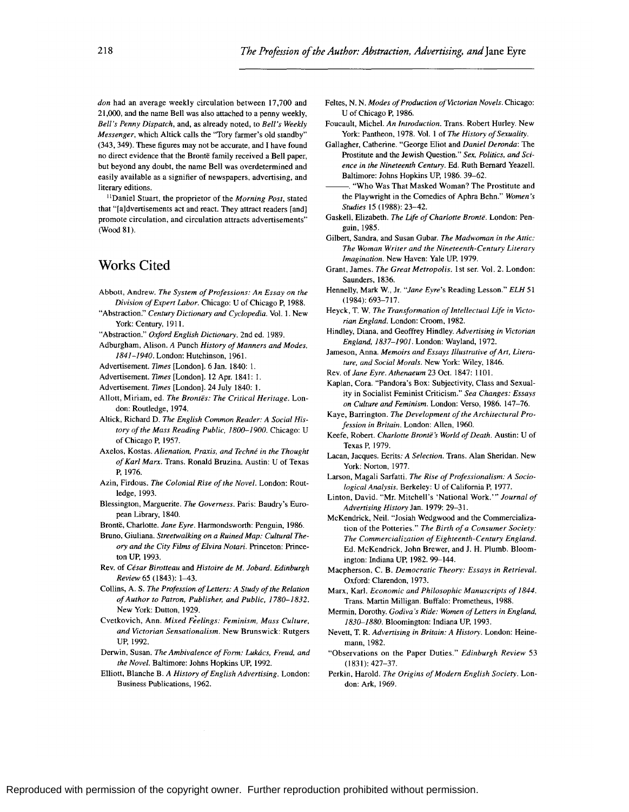*don* had an average weekly circulation between 17,700 and 21,000, and the name Bell was also attached to a penny weekly, *Bell's Penny Dispatch,* and, as already noted, to *Bell's Weekly Messenger,* which Altick calls the "Tory farmer's old standby" (343,349). These figures may not be accurate, and I have found no direct evidence that the Brontë family received a Bell paper, but beyond any doubt, the name Bell was overdetermined and easily available as a signifier of newspapers, advertising, and literary editions.

llDaniel Stuart, the proprietor of the *Morning Post,* stated that "[a]dvertisements act and react. They attract readers [and] promote circulation, and circulation attracts advertisements" (Wood 81).

## **Works Cited**

- Abbott, Andrew. *The System of Professions: An Essay on the Division of Expert Labor.* Chicago: U of Chicago P, 1988.
- "Abstraction." *Century Dictionary and Cyclopedia.* Vol. I. New York: Century, 1911.
- "Abstraction." *Oxford English Dictionary.* 2nd ed. 1989.
- Adburgham, Alison. *A* Punch *History of Manners and Modes, 1841-1940.* London: Hutchinson, 1961.
- Advertisement. *Times* [London]. 6 Jan. 1840: I.
- Advertisement. *Times* [London]. 12 Apr. 1841: I.
- Advertisement. *Times* [London]. 24 July 1840: I.
- Allott, Miriam, ed. *The Brontes: The Critical Heritage.* London: Routledge, 1974.
- Altick, Richard D. *The English Common Reader: A Social History of the Mass Reading Public, 1800-1900.* Chicago: U of Chicago P, 1957.
- Axelos, Kostas. *Alienation, Praxis, and Techne in the Thought of Karl Marx.* Trans. Ronald Bruzina. Austin: U of Texas P, 1976.
- Azin, Firdous. *The Colonial Rise of the Novel.* London: Routledge, 1993.
- Blessington, Marguerite. *The Governess.* Paris: Baudry's European Library, 1840.

Bronte, Charlotte. *lane Eyre.* Harmondsworth: Penguin, 1986.

- Bruno, Giuliana. *Streetwalking on a Ruined Map: Cultural Theory and the City Films of Elvira Notari.* Princeton: Princeton UP, 1993.
- Rev. of *Cesar Birotteau* and *Histoire de M. lobard. Edinburgh Review* 65 (1843): 1-43.
- Collins, A. S. *The Profession of Letters: A Study of the Relation of Author to Patron, Publisher, and Public, 1780-1832.*  New York: Dutton, 1929.
- Cvetkovich, Ann. *Mixed Feelings: Feminism, Mass Culture, and Victorian Sensationalism.* New Brunswick: Rutgers UP, 1992.
- Derwin, Susan. *The Ambivalence of Form: Lukacs, Freud, and the Novel.* Baltimore: Johns Hopkins UP, 1992.
- Elliott, Blanche B. A *History of English Advertising.* London: Business Publications, 1962.
- Feltes, N. N. *Modes of Production of Victorian Novels.* Chicago: U of Chicago P, 1986.
- Foucault, Michel. *An Introduction.* Trans. Robert Hurley. New York: Pantheon, 1978. Vol. I of *The History of Sexuality.*
- Gallagher, Catherine. "George Eliot and *Daniel Deronda:* The Prostitute and the Jewish Question." *Sex, Politics, and Sci*ence in the Nineteenth Century. Ed. Ruth Bernard Yeazell. Baltimore: Johns Hopkins UP, 1986.39-62.
- --. "Who Was That Masked Woman? The Prostitute and the Playwright in the Comedies of Aphra Behn." *Women's Studies* 15 (1988): 23-42.
- Gaskell, Elizabeth. *The Life of Charlotte Bronte.* London: Penguin, 1985.
- Gilbert, Sandra, and Susan Gubar. *The Madwoman in the Attic: The Woman Writer and the Nineteenth-Century Literary Imagination.* New Haven: Yale UP, 1979.
- Grant, James. *The Great Metropolis.* 1st ser. Vol. 2. London: Saunders, 1836.
- Hennelly, Mark W., Jr. *"lane Eyre's* Reading Lesson." *ELH 51*  (1984): 693-717.
- Heyck, T. W. *The Transformation of Intellectual Life in Victorian England.* London: Croom, 1982.
- Hindley, Diana, and Geoffrey Hindley. *Advertising in Victorian England, 1837-1901.* London: Wayland, 1972.
- Jameson, Anna. *Memoirs and Essays Illustrative of Art, Literature, and Social Morals.* New York: Wiley, 1846.
- Rev. of *lane Eyre. Athenaeum* 23 Oct. 1847: 1101.
- Kaplan, Cora. "Pandora's Box: Subjectivity, Class and Sexuality in Socialist Feminist Criticism." *Sea Changes: Essays on Culture and Feminism.* London: Verso, 1986. 147-76.
- Kaye, Barrington. *The Development of the Architectural Profession in Britain.* London: Allen, 1960.
- Keefe, Robert. *Charlotte Bronte* s *World of Death.* Austin: U of Texas P, 1979.
- Lacan, Jacques. Ecrits: A *Selection.* Trans. Alan Sheridan. New York: Norton, 1977.
- Larson, Magali Sarfatti. *The Rise of Professionalism:* A *Sociological Analysis.* Berkeley: U of California P, 1977.
- Linton, David. "Mr. Mitchell's 'National Work.'" *lournal of Advertising History* Jan. 1979: 29-31.
- McKendrick, Neil. "Josiah Wedgwood and the Commercialization of the Potteries." *The Birth of a Consumer Society: The Commercialization of Eighteenth-Century England.*  Ed. McKendrick, John Brewer, and J. H. Plumb. Bloomington: Indiana UP, 1982.99-144.
- Macpherson, C. B. *Democratic Theory: Essays in Retrieval.*  Oxford: Clarendon, 1973.
- Marx, Karl. *Economic and Philosophic Manuscripts of 1844.*  Trans. Martin Milligan. Buffalo: Prometheus, 1988.
- Mermin, Dorothy. *Godiva's Ride: Women of Letters in England, 1830-1880.* Bloomington: Indiana UP, 1993.
- Nevett, T. R. *Advertising in Britain:* A *History.* London: Heinemann, 1982.
- "Observations on the Paper Duties." *Edinburgh Review 53*  (1831): 427-37.
- Perkin, Harold. *The Origins of Modern English Society.* London: Ark, 1969.